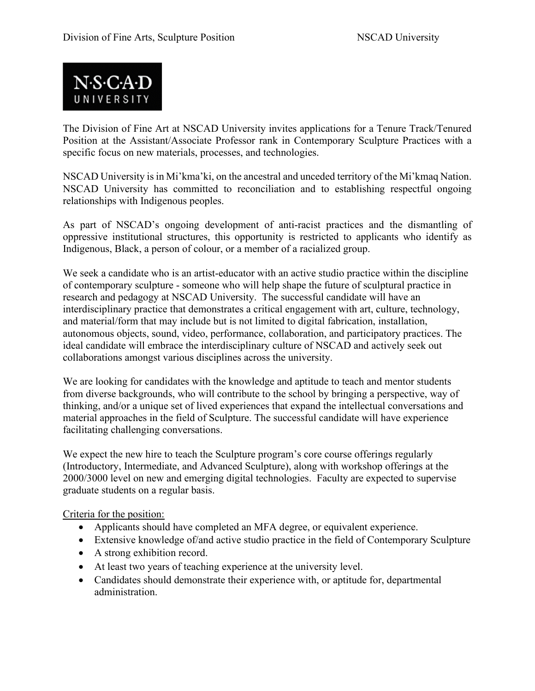

The Division of Fine Art at NSCAD University invites applications for a Tenure Track/Tenured Position at the Assistant/Associate Professor rank in Contemporary Sculpture Practices with a specific focus on new materials, processes, and technologies.

NSCAD University is in Mi'kma'ki, on the ancestral and unceded territory of the Mi'kmaq Nation. NSCAD University has committed to reconciliation and to establishing respectful ongoing relationships with Indigenous peoples.

As part of NSCAD's ongoing development of anti-racist practices and the dismantling of oppressive institutional structures, this opportunity is restricted to applicants who identify as Indigenous, Black, a person of colour, or a member of a racialized group.

We seek a candidate who is an artist-educator with an active studio practice within the discipline of contemporary sculpture - someone who will help shape the future of sculptural practice in research and pedagogy at NSCAD University. The successful candidate will have an interdisciplinary practice that demonstrates a critical engagement with art, culture, technology, and material/form that may include but is not limited to digital fabrication, installation, autonomous objects, sound, video, performance, collaboration, and participatory practices. The ideal candidate will embrace the interdisciplinary culture of NSCAD and actively seek out collaborations amongst various disciplines across the university.

We are looking for candidates with the knowledge and aptitude to teach and mentor students from diverse backgrounds, who will contribute to the school by bringing a perspective, way of thinking, and/or a unique set of lived experiences that expand the intellectual conversations and material approaches in the field of Sculpture. The successful candidate will have experience facilitating challenging conversations.

We expect the new hire to teach the Sculpture program's core course offerings regularly (Introductory, Intermediate, and Advanced Sculpture), along with workshop offerings at the 2000/3000 level on new and emerging digital technologies. Faculty are expected to supervise graduate students on a regular basis.

Criteria for the position:

- Applicants should have completed an MFA degree, or equivalent experience.
- Extensive knowledge of/and active studio practice in the field of Contemporary Sculpture
- A strong exhibition record.
- At least two years of teaching experience at the university level.
- Candidates should demonstrate their experience with, or aptitude for, departmental administration.